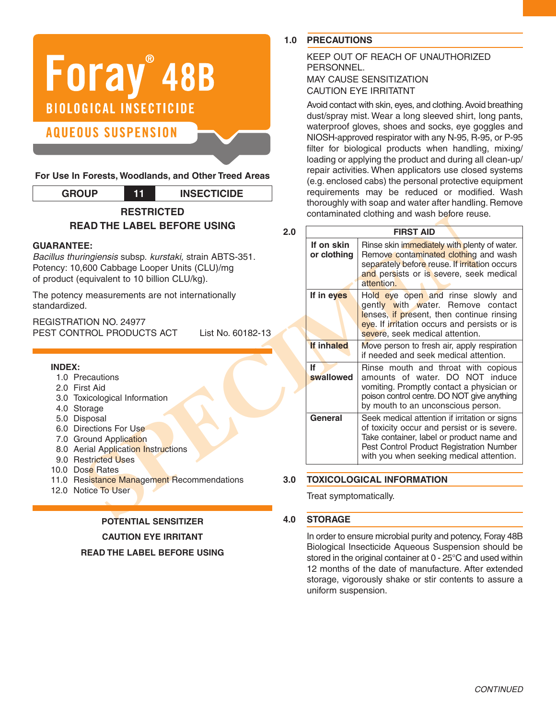

**For Use In Forests, Woodlands, and Other Treed Areas**

| <b>GROUP</b>      |  | <b>INSECTICIDE</b> |  |
|-------------------|--|--------------------|--|
| <b>RESTRICTED</b> |  |                    |  |

# **READ THE LABEL BEFORE USING**

#### **GUARANTEE:**

*Bacillus thuringiensis* subsp. *kurstaki,* strain ABTS-351. Potency: 10,600 Cabbage Looper Units (CLU)/mg of product (equivalent to 10 billion CLU/kg).

The potency measurements are not internationally standardized.

REGISTRATION NO. 24977 PEST CONTROL PRODUCTS ACT List No. 60182-13

#### **INDEX:**

- 1.0 Precautions
- 2.0 First Aid
- 3.0 Toxicological Information
- 4.0 Storage
- 5.0 Disposal
- 6.0 Directions For Use
- 7.0 Ground Application
- 8.0 Aerial Application Instructions
- 9.0 Restricted Uses
- 10.0 Dose Rates
- 11.0 Resistance Management Recommendations
- 12.0 Notice To User

#### **POTENTIAL SENSITIZER**

**CAUTION EYE IRRITANT**

**READ THE LABEL BEFORE USING**

#### **1.0 PRECAUTIONS**

# KEEP OUT OF REACH OF UNAUTHORIZED PERSONNEL. MAY CAUSE SENSITIZATION

#### CAUTION EYE IRRITATNT

Avoid contact with skin, eyes, and clothing.Avoid breathing dust/spray mist. Wear a long sleeved shirt, long pants, waterproof gloves, shoes and socks, eye goggles and NIOSH-approved respirator with any N-95, R-95, or P-95 filter for biological products when handling, mixing/ loading or applying the product and during all clean-up/ repair activities. When applicators use closed systems (e.g. enclosed cabs) the personal protective equipment requirements may be reduced or modified. Wash thoroughly with soap and water after handling. Remove contaminated clothing and wash before reuse.

|                                                                                                                             |                           | contaminated clothing and wasn belore reuse.                                                                                                                                                                                      |
|-----------------------------------------------------------------------------------------------------------------------------|---------------------------|-----------------------------------------------------------------------------------------------------------------------------------------------------------------------------------------------------------------------------------|
| AD THE LABEL BEFORE USING<br>2.0                                                                                            | <b>FIRST AID</b>          |                                                                                                                                                                                                                                   |
| Έ.<br>ingiensis subsp. kurstaki, strain ABTS-351.<br>600 Cabbage Looper Units (CLU)/mg<br>equivalent to 10 billion CLU/kg). | If on skin<br>or clothing | Rinse skin immediately with plenty of water.<br>Remove contaminated clothing and wash<br>separately before reuse. If irritation occurs<br>and persists or is severe, seek medical<br>attention.                                   |
| measurements are not internationally<br><b>ION NO. 24977</b><br><b>FROL PRODUCTS ACT</b><br>List No. 60182-13               | If in eyes                | Hold eye open and rinse slowly and<br>gently with water. Remove contact<br>lenses, if present, then continue rinsing<br>eye. If irritation occurs and persists or is<br>severe, seek medical attention.                           |
|                                                                                                                             | If inhaled                | Move person to fresh air, apply respiration<br>if needed and seek medical attention.                                                                                                                                              |
| ecautions<br>rst Aid<br>xicological Information<br>orage                                                                    | lf<br>swallowed           | Rinse mouth and throat with copious<br>amounts of water. DO NOT induce<br>vomiting. Promptly contact a physician or<br>poison control centre. DO NOT give anything<br>by mouth to an unconscious person.                          |
| sposal<br>rections For Use<br>ound Application<br>erial Application Instructions<br>estricted Uses                          | General                   | Seek medical attention if irritation or signs<br>of toxicity occur and persist or is severe.<br>Take container, label or product name and<br>Pest Control Product Registration Number<br>with you when seeking medical attention. |
| <b>Se Rates</b>                                                                                                             |                           |                                                                                                                                                                                                                                   |
| esistance Management Recommendations<br>3.0<br>otice To User                                                                |                           | <b>TOXICOLOGICAL INFORMATION</b>                                                                                                                                                                                                  |
|                                                                                                                             | Treat symptomatically.    |                                                                                                                                                                                                                                   |
| 1 N<br><b>DOTENTIAL OFNOITE</b>                                                                                             | <b>STODACE</b>            |                                                                                                                                                                                                                                   |

#### **3.0 TOXICOLOGICAL INFORMATION**

#### **4.0 STORAGE**

In order to ensure microbial purity and potency, Foray 48B Biological Insecticide Aqueous Suspension should be stored in the original container at 0 - 25°C and used within 12 months of the date of manufacture. After extended storage, vigorously shake or stir contents to assure a uniform suspension.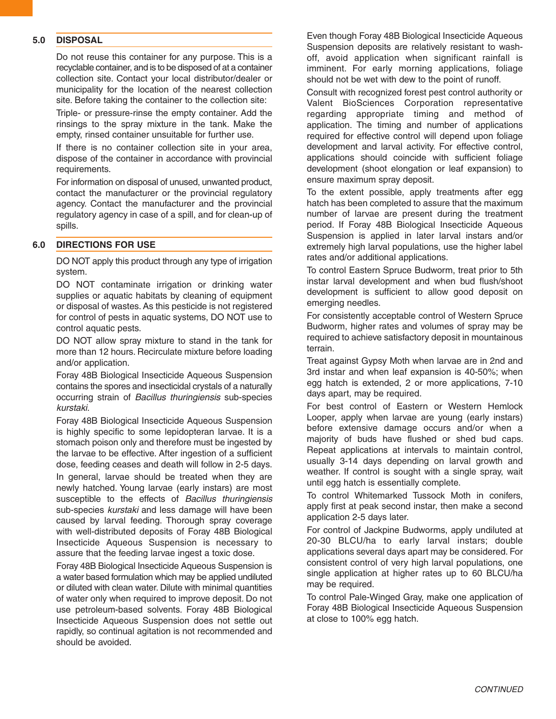#### **5.0 DISPOSAL**

Do not reuse this container for any purpose. This is a recyclable container, and is to be disposed of at a container collection site. Contact your local distributor/dealer or municipality for the location of the nearest collection site. Before taking the container to the collection site:

Triple- or pressure-rinse the empty container. Add the rinsings to the spray mixture in the tank. Make the empty, rinsed container unsuitable for further use.

If there is no container collection site in your area, dispose of the container in accordance with provincial requirements.

For information on disposal of unused, unwanted product, contact the manufacturer or the provincial regulatory agency. Contact the manufacturer and the provincial regulatory agency in case of a spill, and for clean-up of spills.

#### **6.0 DIRECTIONS FOR USE**

DO NOT apply this product through any type of irrigation system.

DO NOT contaminate irrigation or drinking water supplies or aquatic habitats by cleaning of equipment or disposal of wastes. As this pesticide is not registered for control of pests in aquatic systems, DO NOT use to control aquatic pests.

DO NOT allow spray mixture to stand in the tank for more than 12 hours. Recirculate mixture before loading and/or application.

Foray 48B Biological Insecticide Aqueous Suspension contains the spores and insecticidal crystals of a naturally occurring strain of *Bacillus thuringiensis* sub-species *kurstaki*.

Foray 48B Biological Insecticide Aqueous Suspension is highly specific to some lepidopteran larvae. It is a stomach poison only and therefore must be ingested by the larvae to be effective. After ingestion of a sufficient dose, feeding ceases and death will follow in 2-5 days. In general, larvae should be treated when they are newly hatched. Young larvae (early instars) are most susceptible to the effects of *Bacillus thuringiensis* sub-species *kurstaki* and less damage will have been caused by larval feeding. Thorough spray coverage with well-distributed deposits of Foray 48B Biological Insecticide Aqueous Suspension is necessary to assure that the feeding larvae ingest a toxic dose.

Foray 48B Biological Insecticide Aqueous Suspension is a water based formulation which may be applied undiluted or diluted with clean water. Dilute with minimal quantities of water only when required to improve deposit. Do not use petroleum-based solvents. Foray 48B Biological Insecticide Aqueous Suspension does not settle out rapidly, so continual agitation is not recommended and should be avoided.

Even though Foray 48B Biological Insecticide Aqueous Suspension deposits are relatively resistant to washoff, avoid application when significant rainfall is imminent. For early morning applications, foliage should not be wet with dew to the point of runoff.

Consult with recognized forest pest control authority or Valent BioSciences Corporation representative regarding appropriate timing and method of application. The timing and number of applications required for effective control will depend upon foliage development and larval activity. For effective control, applications should coincide with sufficient foliage development (shoot elongation or leaf expansion) to ensure maximum spray deposit.

To the extent possible, apply treatments after egg hatch has been completed to assure that the maximum number of larvae are present during the treatment period. If Foray 48B Biological Insecticide Aqueous Suspension is applied in later larval instars and/or extremely high larval populations, use the higher label rates and/or additional applications.

To control Eastern Spruce Budworm, treat prior to 5th instar larval development and when bud flush/shoot development is sufficient to allow good deposit on emerging needles.

For consistently acceptable control of Western Spruce Budworm, higher rates and volumes of spray may be required to achieve satisfactory deposit in mountainous terrain.

Treat against Gypsy Moth when larvae are in 2nd and 3rd instar and when leaf expansion is 40-50%; when egg hatch is extended, 2 or more applications, 7-10 days apart, may be required.

For best control of Eastern or Western Hemlock Looper, apply when larvae are young (early instars) before extensive damage occurs and/or when a majority of buds have flushed or shed bud caps. Repeat applications at intervals to maintain control, usually 3-14 days depending on larval growth and weather. If control is sought with a single spray, wait until egg hatch is essentially complete.

To control Whitemarked Tussock Moth in conifers, apply first at peak second instar, then make a second application 2-5 days later.

For control of Jackpine Budworms, apply undiluted at 20-30 BLCU/ha to early larval instars; double applications several days apart may be considered. For consistent control of very high larval populations, one single application at higher rates up to 60 BLCU/ha may be required.

To control Pale-Winged Gray, make one application of Foray 48B Biological Insecticide Aqueous Suspension at close to 100% egg hatch.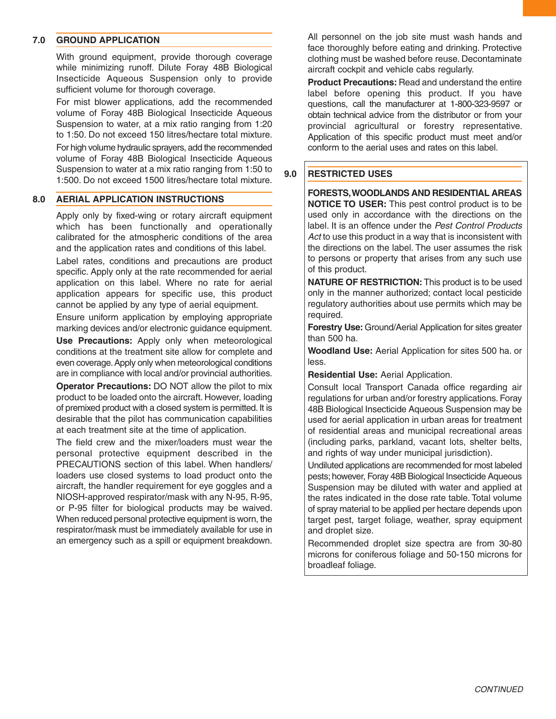#### **7.0 GROUND APPLICATION**

With ground equipment, provide thorough coverage while minimizing runoff. Dilute Foray 48B Biological Insecticide Aqueous Suspension only to provide sufficient volume for thorough coverage.

For mist blower applications, add the recommended volume of Foray 48B Biological Insecticide Aqueous Suspension to water, at a mix ratio ranging from 1:20 to 1:50. Do not exceed 150 litres/hectare total mixture. For high volume hydraulic sprayers, add the recommended volume of Foray 48B Biological Insecticide Aqueous Suspension to water at a mix ratio ranging from 1:50 to 1:500. Do not exceed 1500 litres/hectare total mixture.

#### **8.0 AERIAL APPLICATION INSTRUCTIONS**

Apply only by fixed-wing or rotary aircraft equipment which has been functionally and operationally calibrated for the atmospheric conditions of the area and the application rates and conditions of this label.

Label rates, conditions and precautions are product specific. Apply only at the rate recommended for aerial application on this label. Where no rate for aerial application appears for specific use, this product cannot be applied by any type of aerial equipment.

Ensure uniform application by employing appropriate marking devices and/or electronic guidance equipment.

**Use Precautions:** Apply only when meteorological conditions at the treatment site allow for complete and even coverage.Apply only when meteorological conditions are in compliance with local and/or provincial authorities.

**Operator Precautions:** DO NOT allow the pilot to mix product to be loaded onto the aircraft. However, loading of premixed product with a closed system is permitted. It is desirable that the pilot has communication capabilities at each treatment site at the time of application.

The field crew and the mixer/loaders must wear the personal protective equipment described in the PRECAUTIONS section of this label. When handlers/ loaders use closed systems to load product onto the aircraft, the handler requirement for eye goggles and a NIOSH-approved respirator/mask with any N-95, R-95, or P-95 filter for biological products may be waived. When reduced personal protective equipment is worn, the respirator/mask must be immediately available for use in an emergency such as a spill or equipment breakdown.

All personnel on the job site must wash hands and face thoroughly before eating and drinking. Protective clothing must be washed before reuse. Decontaminate aircraft cockpit and vehicle cabs regularly.

**Product Precautions:** Read and understand the entire label before opening this product. If you have questions, call the manufacturer at 1-800-323-9597 or obtain technical advice from the distributor or from your provincial agricultural or forestry representative. Application of this specific product must meet and/or conform to the aerial uses and rates on this label.

#### **9.0 RESTRICTED USES**

**FORESTS,WOODLANDS AND RESIDENTIAL AREAS NOTICE TO USER:** This pest control product is to be used only in accordance with the directions on the label. It is an offence under the *Pest Control Products Act* to use this product in a way that is inconsistent with the directions on the label. The user assumes the risk to persons or property that arises from any such use of this product.

**NATURE OF RESTRICTION:** This product is to be used only in the manner authorized; contact local pesticide regulatory authorities about use permits which may be required.

**Forestry Use:** Ground/Aerial Application for sites greater than 500 ha.

**Woodland Use:** Aerial Application for sites 500 ha. or less.

**Residential Use:** Aerial Application.

Consult local Transport Canada office regarding air regulations for urban and/or forestry applications. Foray 48B Biological Insecticide Aqueous Suspension may be used for aerial application in urban areas for treatment of residential areas and municipal recreational areas (including parks, parkland, vacant lots, shelter belts, and rights of way under municipal jurisdiction).

Undiluted applications are recommended for most labeled pests;however, Foray 48B Biological Insecticide Aqueous Suspension may be diluted with water and applied at the rates indicated in the dose rate table. Total volume of spray material to be applied per hectare depends upon target pest, target foliage, weather, spray equipment and droplet size.

Recommended droplet size spectra are from 30-80 microns for coniferous foliage and 50-150 microns for broadleaf foliage.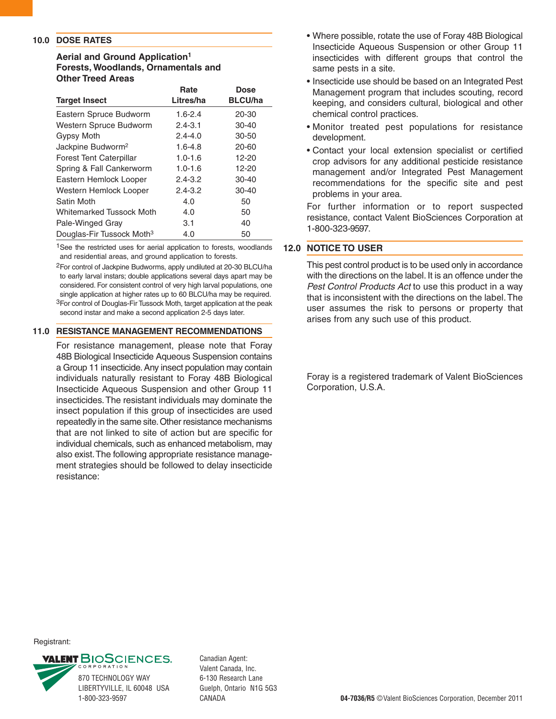#### **10.0 DOSE RATES**

#### **Aerial and Ground Application1 Forests, Woodlands, Ornamentals and Other Treed Areas**

|                                       | Rate        | Dose           |
|---------------------------------------|-------------|----------------|
| <b>Target Insect</b>                  | Litres/ha   | <b>BLCU/ha</b> |
| Eastern Spruce Budworm                | $1.6 - 2.4$ | $20 - 30$      |
| Western Spruce Budworm                | $2.4 - 3.1$ | $30 - 40$      |
| Gypsy Moth                            | $2.4 - 4.0$ | $30 - 50$      |
| Jackpine Budworm <sup>2</sup>         | $1.6 - 4.8$ | $20 - 60$      |
| <b>Forest Tent Caterpillar</b>        | $1.0 - 1.6$ | $12 - 20$      |
| Spring & Fall Cankerworm              | $1.0 - 1.6$ | $12 - 20$      |
| Eastern Hemlock Looper                | $2.4 - 3.2$ | $30 - 40$      |
| Western Hemlock Looper                | $2.4 - 3.2$ | $30 - 40$      |
| Satin Moth                            | 4.0         | 50             |
| <b>Whitemarked Tussock Moth</b>       | 4.0         | 50             |
| Pale-Winged Gray                      | 3.1         | 40             |
| Douglas-Fir Tussock Moth <sup>3</sup> | 4.0         | 50             |

<sup>1</sup>See the restricted uses for aerial application to forests, woodlands and residential areas, and ground application to forests.

2For control of Jackpine Budworms, apply undiluted at 20-30 BLCU/ha to early larval instars; double applications several days apart may be considered. For consistent control of very high larval populations, one single application at higher rates up to 60 BLCU/ha may be required. 3For control of Douglas-Fir Tussock Moth, target application at the peak second instar and make a second application 2-5 days later.

#### **11.0 RESISTANCE MANAGEMENT RECOMMENDATIONS**

For resistance management, please note that Foray 48B Biological Insecticide Aqueous Suspension contains a Group 11 insecticide.Any insect population may contain individuals naturally resistant to Foray 48B Biological Insecticide Aqueous Suspension and other Group 11 insecticides.The resistant individuals may dominate the insect population if this group of insecticides are used repeatedly in the same site.Other resistance mechanisms that are not linked to site of action but are specific for individual chemicals, such as enhanced metabolism, may also exist.The following appropriate resistance management strategies should be followed to delay insecticide resistance:

- Where possible, rotate the use of Foray 48B Biological Insecticide Aqueous Suspension or other Group 11 insecticides with different groups that control the same pests in a site.
- Insecticide use should be based on an Integrated Pest Management program that includes scouting, record keeping, and considers cultural, biological and other chemical control practices.
- Monitor treated pest populations for resistance development.
- Contact your local extension specialist or certified crop advisors for any additional pesticide resistance management and/or Integrated Pest Management recommendations for the specific site and pest problems in your area.

For further information or to report suspected resistance, contact Valent BioSciences Corporation at 1-800-323-9597.

#### **12.0 NOTICE TO USER**

This pest control product is to be used only in accordance with the directions on the label. It is an offence under the *Pest Control Products Act* to use this product in a way that is inconsistent with the directions on the label.The user assumes the risk to persons or property that arises from any such use of this product.

Foray is a registered trademark of Valent BioSciences Corporation, U.S.A.

Registrant:



870 TECHNOLOGY WAY LIBERTYVILLE, IL 60048 USA Canadian Agent: Valent Canada, Inc. 6-130 Research Lane Guelph, Ontario N1G 5G3 CANADA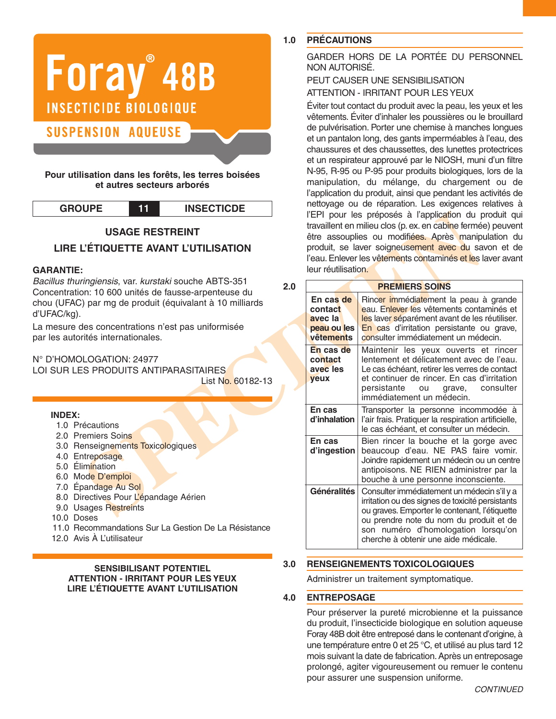# Foray<sup>®</sup> 48B **INSECTICIDE BIOLOGIQUE SUSPENSION AQUEUSE**

**Pour utilisation dans les forêts, les terres boisées et autres secteurs arborés**

| <b>GROUPE</b> |  |  |
|---------------|--|--|
|---------------|--|--|

**GROUPE 11 INSECTICDE**

# **USAGE RESTREINT**

# **LIRE L'ÉTIQUETTE AVANT L'UTILISATION**

#### **GARANTIE:**

*Bacillus thuringiensis*, var. *kurstaki* souche ABTS-351 Concentration: 10 600 unités de fausse-arpenteuse du chou (UFAC) par mg de produit (équivalant à 10 milliards d'UFAC/kg).

La mesure des concentrations n'est pas uniformisée par les autorités internationales.

N° D'HOMOLOGATION: 24977

LOI SUR LES PRODUITS ANTIPARASITAIRES List No. 60182-13

#### **INDEX:**

- 1.0 Précautions
- 2.0 Premiers Soins
- 3.0 Renseignements Toxicologiques
- 4.0 Entreposage
- 5.0 Élimination
- 6.0 Mode D'emploi
- 7.0 Épandage Au Sol
- 8.0 Directives Pour L'épandage Aérien
- 9.0 Usages Restreints
- 10.0 Doses
- 11.0 Recommandations Sur La Gestion De La Résistance
- 12.0 Avis À L'utilisateur

**SENSIBILISANT POTENTIEL ATTENTION - IRRITANT POUR LES YEUX LIRE L'ÉTIQUETTE AVANT L'UTILISATION**

# **1.0 PRÉCAUTIONS**

GARDER HORS DE LA PORTÉE DU PERSONNEL NON AUTORISÉ.

## PEUT CAUSER UNE SENSIBILISATION ATTENTION - IRRITANT POUR LESYEUX

Éviter tout contact du produit avec la peau, les yeux et les vêtements. Éviter d'inhaler les poussières ou le brouillard de pulvérisation. Porter une chemise à manches longues et un pantalon long, des gants imperméables à l'eau, des chaussures et des chaussettes, des lunettes protectrices et un respirateur approuvé par le NIOSH, muni d'un filtre N-95, R-95 ou P-95 pour produits biologiques, lors de la manipulation, du mélange, du chargement ou de l'application du produit, ainsi que pendant les activités de nettoyage ou de réparation. Les exigences relatives à l'EPI pour les préposés à l'application du produit qui travaillent en milieu clos (p. ex. en cabine fermée) peuvent être assouplies ou modifiées. Après manipulation du produit, se laver soigneusement avec du savon et de l'eau. Enlever les vêtements contaminés et les laver avant leur réutilisation.

|                                                                                                                                                                                                                                                              |     |                                                                                                                                                                            | l'EPI pour les préposés à l'application du produit qui                                                                                                                                                                                                                     |  |
|--------------------------------------------------------------------------------------------------------------------------------------------------------------------------------------------------------------------------------------------------------------|-----|----------------------------------------------------------------------------------------------------------------------------------------------------------------------------|----------------------------------------------------------------------------------------------------------------------------------------------------------------------------------------------------------------------------------------------------------------------------|--|
| <b>USAGE RESTREINT</b><br>L'ÉTIQUETTE AVANT L'UTILISATION                                                                                                                                                                                                    |     | travaillent en milieu clos (p. ex. en cabine fermée) peuvent<br>être assouplies ou modifiées. Après manipulation du<br>produit, se laver soigneusement avec du savon et de |                                                                                                                                                                                                                                                                            |  |
|                                                                                                                                                                                                                                                              |     | leur réutilisation.                                                                                                                                                        | l'eau. Enlever les vêtements contaminés et les laver avant                                                                                                                                                                                                                 |  |
| ingiensis, var. kurstaki souche ABTS-351<br>on: 10 600 unités de fausse-arpenteuse du                                                                                                                                                                        | 2.0 |                                                                                                                                                                            | <b>PREMIERS SOINS</b>                                                                                                                                                                                                                                                      |  |
| ) par mg de produit (équivalant à 10 milliards                                                                                                                                                                                                               |     | En cas de<br>contact<br>avec la                                                                                                                                            | Rincer immédiatement la peau à grande<br>eau. Enlever les vêtements contaminés et<br>les laver séparément avant de les réutiliser.                                                                                                                                         |  |
| les concentrations n'est pas uniformisée<br>rités internationales.                                                                                                                                                                                           |     | peau ou les<br>vêtements                                                                                                                                                   | En cas d'irritation persistante ou grave,<br>consulter immédiatement un médecin.                                                                                                                                                                                           |  |
| LOGATION: 24977<br><b>S PRODUITS ANTIPARASITAIRES</b><br>List No. 60182-13                                                                                                                                                                                   |     | En cas de<br>contact<br>avec les<br>yeux                                                                                                                                   | Maintenir les yeux ouverts et rincer<br>lentement et délicatement avec de l'eau.<br>Le cas échéant, retirer les verres de contact<br>et continuer de rincer. En cas d'irritation<br>persistante<br>ou<br>consulter<br>grave,<br>immédiatement un médecin.                  |  |
| écautions                                                                                                                                                                                                                                                    |     | En cas<br>d'inhalation                                                                                                                                                     | Transporter la personne incommodée à<br>l'air frais. Pratiquer la respiration artificielle,<br>le cas échéant, et consulter un médecin.                                                                                                                                    |  |
| emiers Soins<br>enseignements Toxicologiques<br>treposage<br>imination<br>ode D'emploi<br>vandage Au Sol<br>rectives Pour L'épandage Aérien<br>sages Restreints<br>oses<br>ecommandations Sur La Gestion De La Résistance<br><sup>r</sup> is À L'utilisateur |     | En cas<br>d'ingestion                                                                                                                                                      | Bien rincer la bouche et la gorge avec<br>beaucoup d'eau. NE PAS faire vomir.<br>Joindre rapidement un médecin ou un centre<br>antipoisons. NE RIEN administrer par la<br>bouche à une personne inconsciente.                                                              |  |
|                                                                                                                                                                                                                                                              |     | Généralités                                                                                                                                                                | Consulter immédiatement un médecin s'il y a<br>irritation ou des signes de toxicité persistants<br>ou graves. Emporter le contenant, l'étiquette<br>ou prendre note du nom du produit et de<br>son numéro d'homologation lorsqu'on<br>cherche à obtenir une aide médicale. |  |

#### **3.0 RENSEIGNEMENTS TOXICOLOGIQUES**

Administrer un traitement symptomatique.

#### **4.0 ENTREPOSAGE**

Pour préserver la pureté microbienne et la puissance du produit, l'insecticide biologique en solution aqueuse Foray 48B doit être entreposé dans le contenant d'origine, à une température entre 0 et 25 °C, et utilisé au plus tard 12 mois suivant la date de fabrication.Après un entreposage prolongé, agiter vigoureusement ou remuer le contenu pour assurer une suspension uniforme.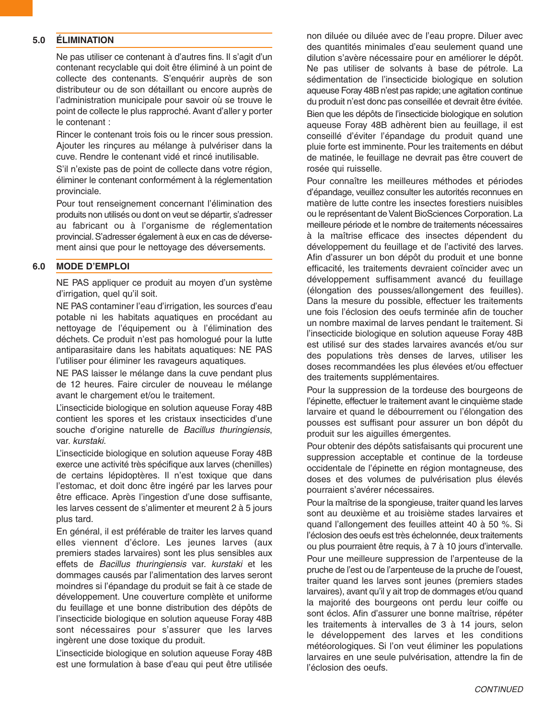#### **5.0 ÉLIMINATION**

Ne pas utiliser ce contenant à d'autres fins. Il s'agit d'un contenant recyclable qui doit être éliminé à un point de collecte des contenants. S'enquérir auprès de son distributeur ou de son détaillant ou encore auprès de l'administration municipale pour savoir où se trouve le point de collecte le plus rapproché.Avant d'aller y porter le contenant :

Rincer le contenant trois fois ou le rincer sous pression. Ajouter les rinçures au mélange à pulvériser dans la cuve. Rendre le contenant vidé et rincé inutilisable.

S'il n'existe pas de point de collecte dans votre région, éliminer le contenant conformément à la réglementation provinciale.

Pour tout renseignement concernant l'élimination des produits non utilisés ou dont on veut se départir, s'adresser au fabricant ou à l'organisme de réglementation provincial.S'adresser également à eux en cas de déversement ainsi que pour le nettoyage des déversements.

#### **6.0 MODE D'EMPLOI**

NE PAS appliquer ce produit au moyen d'un système d'irrigation, quel qu'il soit.

NE PAS contaminer l'eau d'irrigation, les sources d'eau potable ni les habitats aquatiques en procédant au nettoyage de l'équipement ou à l'élimination des déchets. Ce produit n'est pas homologué pour la lutte antiparasitaire dans les habitats aquatiques: NE PAS l'utiliser pour éliminer les ravageurs aquatiques.

NE PAS laisser le mélange dans la cuve pendant plus de 12 heures. Faire circuler de nouveau le mélange avant le chargement et/ou le traitement.

L'insecticide biologique en solution aqueuse Foray 48B contient les spores et les cristaux insecticides d'une souche d'origine naturelle de *Bacillus thuringiensis*, var. *kurstaki*.

L'insecticide biologique en solution aqueuse Foray 48B exerce une activité très spécifique aux larves (chenilles) de certains lépidoptères. Il n'est toxique que dans l'estomac, et doit donc être ingéré par les larves pour être efficace. Après l'ingestion d'une dose suffisante, les larves cessent de s'alimenter et meurent 2 à 5 jours plus tard.

En général, il est préférable de traiter les larves quand elles viennent d'éclore. Les jeunes larves (aux premiers stades larvaires) sont les plus sensibles aux effets de *Bacillus thuringiensis* var. *kurstaki* et les dommages causés par l'alimentation des larves seront moindres si l'épandage du produit se fait à ce stade de développement. Une couverture complète et uniforme du feuillage et une bonne distribution des dépôts de l'insecticide biologique en solution aqueuse Foray 48B sont nécessaires pour s'assurer que les larves ingèrent une dose toxique du produit.

L'insecticide biologique en solution aqueuse Foray 48B est une formulation à base d'eau qui peut être utilisée

non diluée ou diluée avec de l'eau propre. Diluer avec des quantités minimales d'eau seulement quand une dilution s'avère nécessaire pour en améliorer le dépôt. Ne pas utiliser de solvants à base de pétrole. La sédimentation de l'insecticide biologique en solution aqueuse Foray 48B n'est pas rapide; une agitation continue du produit n'est donc pas conseillée et devrait être évitée. Bien que les dépôts de l'insecticide biologique en solution aqueuse Foray 48B adhèrent bien au feuillage, il est conseillé d'éviter l'épandage du produit quand une pluie forte est imminente. Pour les traitements en début de matinée, le feuillage ne devrait pas être couvert de rosée qui ruisselle.

Pour connaître les meilleures méthodes et périodes d'épandage, veuillez consulter les autorités reconnues en matière de lutte contre les insectes forestiers nuisibles ou le représentant de Valent BioSciences Corporation. La meilleure période et le nombre de traitements nécessaires à la maîtrise efficace des insectes dépendent du développement du feuillage et de l'activité des larves. Afin d'assurer un bon dépôt du produit et une bonne efficacité, les traitements devraient coïncider avec un développement suffisamment avancé du feuillage (élongation des pousses/allongement des feuilles). Dans la mesure du possible, effectuer les traitements une fois l'éclosion des oeufs terminée afin de toucher un nombre maximal de larves pendant le traitement. Si l'insecticide biologique en solution aqueuse Foray 48B est utilisé sur des stades larvaires avancés et/ou sur des populations très denses de larves, utiliser les doses recommandées les plus élevées et/ou effectuer des traitements supplémentaires.

Pour la suppression de la tordeuse des bourgeons de l'épinette, effectuer le traitement avant le cinquième stade larvaire et quand le débourrement ou l'élongation des pousses est suffisant pour assurer un bon dépôt du produit sur les aiguilles émergentes.

Pour obtenir des dépôts satisfaisants qui procurent une suppression acceptable et continue de la tordeuse occidentale de l'épinette en région montagneuse, des doses et des volumes de pulvérisation plus élevés pourraient s'avérer nécessaires.

Pour la maîtrise de la spongieuse, traiter quand les larves sont au deuxième et au troisième stades larvaires et quand l'allongement des feuilles atteint 40 à 50 %. Si l'éclosion des oeufs est très échelonnée, deux traitements ou plus pourraient être requis, à 7 à 10 jours d'intervalle.

Pour une meilleure suppression de l'arpenteuse de la pruche de l'est ou de l'arpenteuse de la pruche de l'ouest, traiter quand les larves sont jeunes (premiers stades larvaires), avant qu'il y ait trop de dommages et/ou quand la majorité des bourgeons ont perdu leur coiffe ou sont éclos. Afin d'assurer une bonne maîtrise, répéter les traitements à intervalles de 3 à 14 jours, selon le développement des larves et les conditions météorologiques. Si l'on veut éliminer les populations larvaires en une seule pulvérisation, attendre la fin de l'éclosion des oeufs.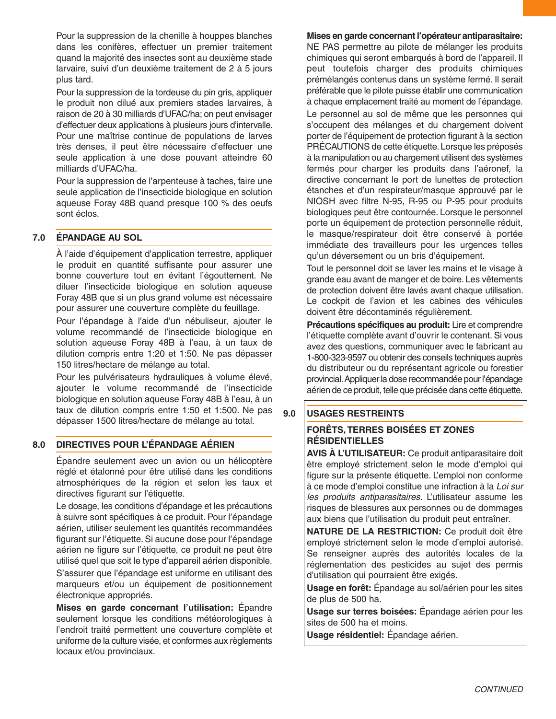Pour la suppression de la chenille à houppes blanches dans les conifères, effectuer un premier traitement quand la majorité des insectes sont au deuxième stade larvaire, suivi d'un deuxième traitement de 2 à 5 jours plus tard.

Pour la suppression de la tordeuse du pin gris, appliquer le produit non dilué aux premiers stades larvaires, à raison de 20 à 30 milliards d'UFAC/ha; on peut envisager d'effectuer deux applications à plusieurs jours d'intervalle. Pour une maîtrise continue de populations de larves très denses, il peut être nécessaire d'effectuer une seule application à une dose pouvant atteindre 60 milliards d'UFAC/ha.

Pour la suppression de l'arpenteuse à taches, faire une seule application de l'insecticide biologique en solution aqueuse Foray 48B quand presque 100 % des oeufs sont éclos.

### **7.0 ÉPANDAGE AU SOL**

À l'aide d'équipement d'application terrestre, appliquer le produit en quantité suffisante pour assurer une bonne couverture tout en évitant l'égouttement. Ne diluer l'insecticide biologique en solution aqueuse Foray 48B que si un plus grand volume est nécessaire pour assurer une couverture complète du feuillage.

Pour l'épandage à l'aide d'un nébuliseur, ajouter le volume recommandé de l'insecticide biologique en solution aqueuse Foray 48B à l'eau, à un taux de dilution compris entre 1:20 et 1:50. Ne pas dépasser 150 litres/hectare de mélange au total.

Pour les pulvérisateurs hydrauliques à volume élevé, ajouter le volume recommandé de l'insecticide biologique en solution aqueuse Foray 48B à l'eau, à un taux de dilution compris entre 1:50 et 1:500. Ne pas dépasser 1500 litres/hectare de mélange au total.

#### **8.0 DIRECTIVES POUR L'ÉPANDAGE AÉRIEN**

Épandre seulement avec un avion ou un hélicoptère réglé et étalonné pour être utilisé dans les conditions atmosphériques de la région et selon les taux et directives figurant sur l'étiquette.

Le dosage, les conditions d'épandage et les précautions à suivre sont spécifiques à ce produit. Pour l'épandage aérien, utiliser seulement les quantités recommandées figurant sur l'étiquette. Si aucune dose pour l'épandage aérien ne figure sur l'étiquette, ce produit ne peut être utilisé quel que soit le type d'appareil aérien disponible.

S'assurer que l'épandage est uniforme en utilisant des marqueurs et/ou un équipement de positionnement électronique appropriés.

**Mises en garde concernant l'utilisation:** Épandre seulement lorsque les conditions météorologiques à l'endroit traité permettent une couverture complète et uniforme de la culture visée, et conformes aux règlements locaux et/ou provinciaux.

#### **Mises en garde concernant l'opérateur antiparasitaire:**

NE PAS permettre au pilote de mélanger les produits chimiques qui seront embarqués à bord de l'appareil. Il peut toutefois charger des produits chimiques prémélangés contenus dans un système fermé. Il serait préférable que le pilote puisse établir une communication à chaque emplacement traité au moment de l'épandage. Le personnel au sol de même que les personnes qui s'occupent des mélanges et du chargement doivent porter de l'équipement de protection figurant à la section PRÉCAUTIONS de cette étiquette.Lorsque les préposés à la manipulation ou au chargement utilisent des systèmes fermés pour charger les produits dans l'aéronef, la directive concernant le port de lunettes de protection étanches et d'un respirateur/masque approuvé par le NIOSH avec filtre N-95, R-95 ou P-95 pour produits biologiques peut être contournée. Lorsque le personnel porte un équipement de protection personnelle réduit, le masque/respirateur doit être conservé à portée immédiate des travailleurs pour les urgences telles qu'un déversement ou un bris d'équipement.

Tout le personnel doit se laver les mains et le visage à grande eau avant de manger et de boire. Les vêtements de protection doivent être lavés avant chaque utilisation. Le cockpit de l'avion et les cabines des véhicules doivent être décontaminés régulièrement.

**Précautions spécifiques au produit:** Lire et comprendre l'étiquette complète avant d'ouvrir le contenant. Si vous avez des questions, communiquer avec le fabricant au 1-800-323-9597 ou obtenir des conseils techniques auprès du distributeur ou du représentant agricole ou forestier provincial. Appliquer la dose recommandée pour l'épandage aérien de ce produit, telle que précisée dans cette étiquette.

#### **9.0 USAGES RESTREINTS**

#### **FORÊTS, TERRES BOISÉES ET ZONES RÉSIDENTIELLES**

**AVIS À L'UTILISATEUR:** Ce produit antiparasitaire doit être employé strictement selon le mode d'emploi qui figure sur la présente étiquette. L'emploi non conforme à ce mode d'emploi constitue une infraction à la *Loi sur les produits antiparasitaires*. L'utilisateur assume les risques de blessures aux personnes ou de dommages aux biens que l'utilisation du produit peut entraîner.

**NATURE DE LA RESTRICTION:** Ce produit doit être employé strictement selon le mode d'emploi autorisé. Se renseigner auprès des autorités locales de la réglementation des pesticides au sujet des permis d'utilisation qui pourraient être exigés.

**Usage en forêt:** Épandage au sol/aérien pour les sites de plus de 500 ha.

**Usage sur terres boisées:** Épandage aérien pour les sites de 500 ha et moins.

**Usage résidentiel:** Épandage aérien.